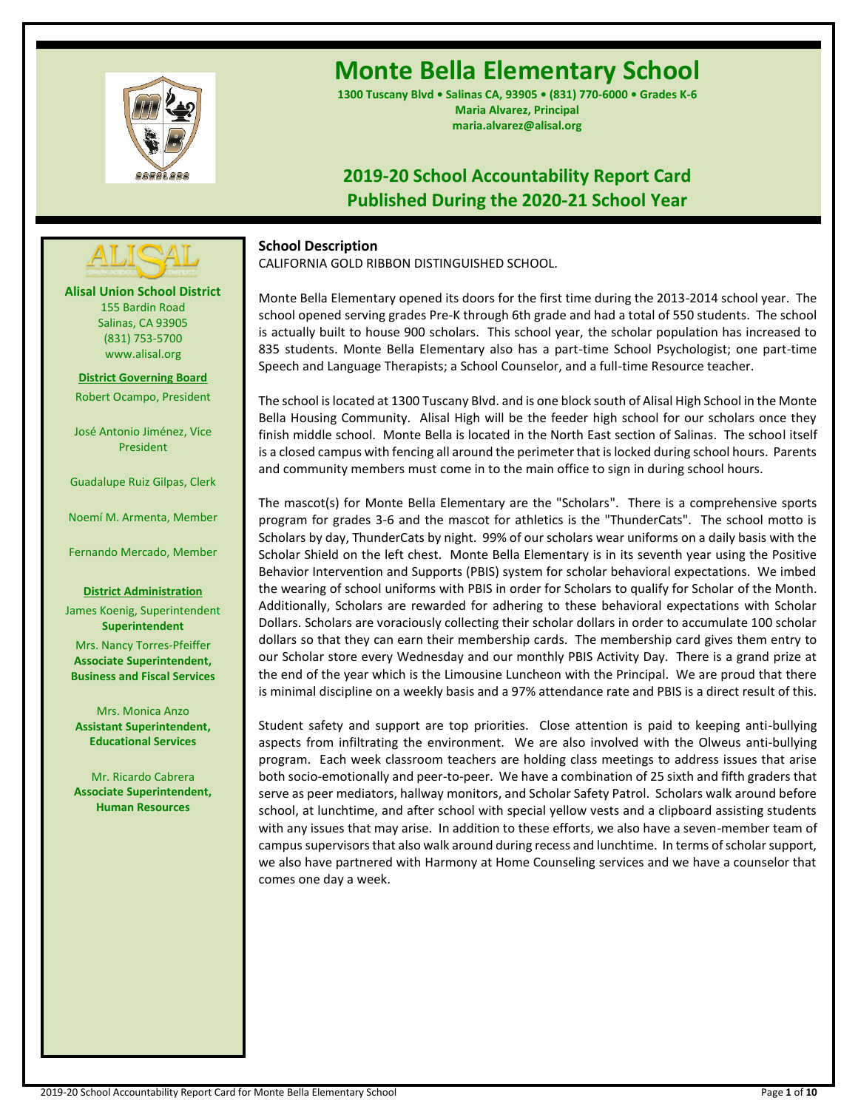

# **Monte Bella Elementary School**

**1300 Tuscany Blvd • Salinas CA, 93905 • (831) 770-6000 • Grades K-6 Maria Alvarez, Principal maria.alvarez@alisal.org**

## **2019-20 School Accountability Report Card Published During the 2020-21 School Year**

## **School Description**

CALIFORNIA GOLD RIBBON DISTINGUISHED SCHOOL.

Monte Bella Elementary opened its doors for the first time during the 2013-2014 school year. The school opened serving grades Pre-K through 6th grade and had a total of 550 students. The school is actually built to house 900 scholars. This school year, the scholar population has increased to 835 students. Monte Bella Elementary also has a part-time School Psychologist; one part-time Speech and Language Therapists; a School Counselor, and a full-time Resource teacher.

The school is located at 1300 Tuscany Blvd. and is one block south of Alisal High School in the Monte Bella Housing Community. Alisal High will be the feeder high school for our scholars once they finish middle school. Monte Bella is located in the North East section of Salinas. The school itself is a closed campus with fencing all around the perimeter that is locked during school hours. Parents and community members must come in to the main office to sign in during school hours.

The mascot(s) for Monte Bella Elementary are the "Scholars". There is a comprehensive sports program for grades 3-6 and the mascot for athletics is the "ThunderCats". The school motto is Scholars by day, ThunderCats by night. 99% of our scholars wear uniforms on a daily basis with the Scholar Shield on the left chest. Monte Bella Elementary is in its seventh year using the Positive Behavior Intervention and Supports (PBIS) system for scholar behavioral expectations. We imbed the wearing of school uniforms with PBIS in order for Scholars to qualify for Scholar of the Month. Additionally, Scholars are rewarded for adhering to these behavioral expectations with Scholar Dollars. Scholars are voraciously collecting their scholar dollars in order to accumulate 100 scholar dollars so that they can earn their membership cards. The membership card gives them entry to our Scholar store every Wednesday and our monthly PBIS Activity Day. There is a grand prize at the end of the year which is the Limousine Luncheon with the Principal. We are proud that there is minimal discipline on a weekly basis and a 97% attendance rate and PBIS is a direct result of this.

Student safety and support are top priorities. Close attention is paid to keeping anti-bullying aspects from infiltrating the environment. We are also involved with the Olweus anti-bullying program. Each week classroom teachers are holding class meetings to address issues that arise both socio-emotionally and peer-to-peer. We have a combination of 25 sixth and fifth graders that serve as peer mediators, hallway monitors, and Scholar Safety Patrol. Scholars walk around before school, at lunchtime, and after school with special yellow vests and a clipboard assisting students with any issues that may arise. In addition to these efforts, we also have a seven-member team of campus supervisors that also walk around during recess and lunchtime. In terms of scholar support, we also have partnered with Harmony at Home Counseling services and we have a counselor that comes one day a week.

**Alisal Union School District** 155 Bardin Road Salinas, CA 93905 (831) 753-5700 www.alisal.org **---- ----**

**District Governing Board** Robert Ocampo, President

José Antonio Jiménez, Vice President

Guadalupe Ruiz Gilpas, Clerk

Noemí M. Armenta, Member

Fernando Mercado, Member

#### **District Administration**

James Koenig, Superintendent **Superintendent** Mrs. Nancy Torres-Pfeiffer **Associate Superintendent, Business and Fiscal Services**

Mrs. Monica Anzo **Assistant Superintendent, Educational Services**

Mr. Ricardo Cabrera **Associate Superintendent, Human Resources**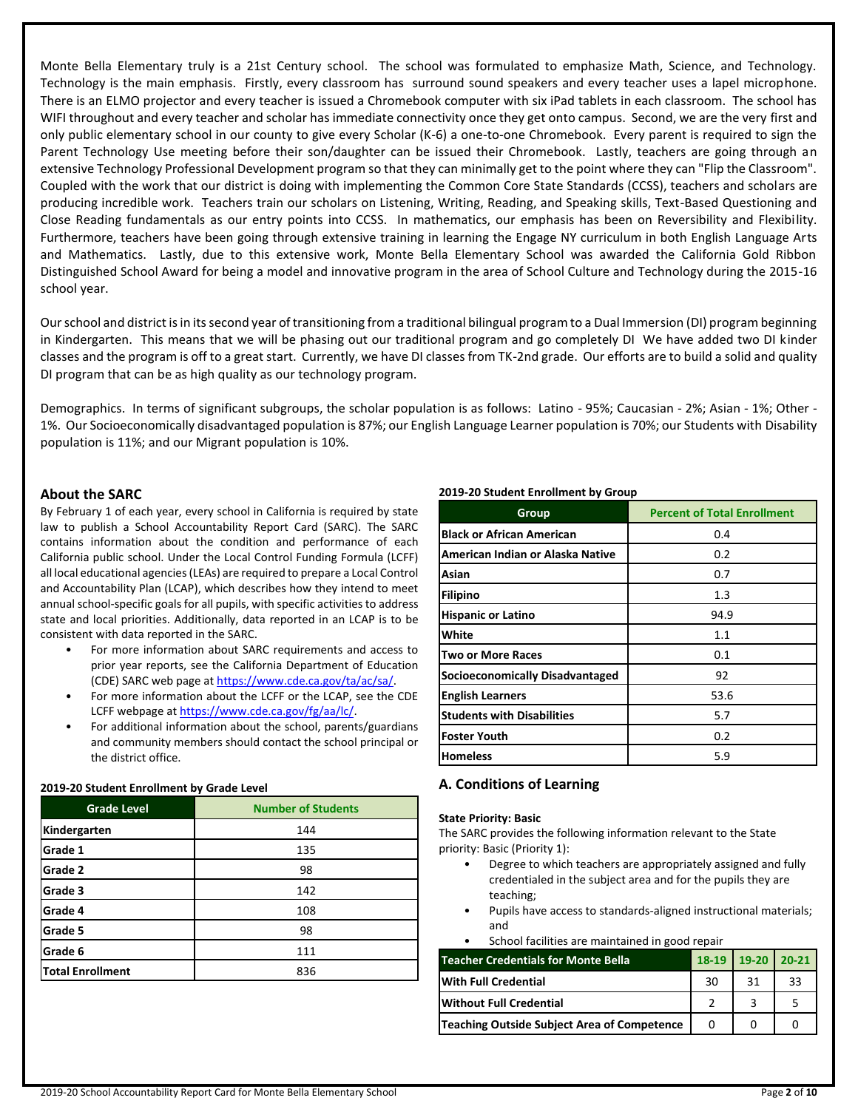Monte Bella Elementary truly is a 21st Century school. The school was formulated to emphasize Math, Science, and Technology. Technology is the main emphasis. Firstly, every classroom has surround sound speakers and every teacher uses a lapel microphone. There is an ELMO projector and every teacher is issued a Chromebook computer with six iPad tablets in each classroom. The school has WIFI throughout and every teacher and scholar has immediate connectivity once they get onto campus. Second, we are the very first and only public elementary school in our county to give every Scholar (K-6) a one-to-one Chromebook. Every parent is required to sign the Parent Technology Use meeting before their son/daughter can be issued their Chromebook. Lastly, teachers are going through an extensive Technology Professional Development program so that they can minimally get to the point where they can "Flip the Classroom". Coupled with the work that our district is doing with implementing the Common Core State Standards (CCSS), teachers and scholars are producing incredible work. Teachers train our scholars on Listening, Writing, Reading, and Speaking skills, Text-Based Questioning and Close Reading fundamentals as our entry points into CCSS. In mathematics, our emphasis has been on Reversibility and Flexibility. Furthermore, teachers have been going through extensive training in learning the Engage NY curriculum in both English Language Arts and Mathematics. Lastly, due to this extensive work, Monte Bella Elementary School was awarded the California Gold Ribbon Distinguished School Award for being a model and innovative program in the area of School Culture and Technology during the 2015-16 school year.

Our school and district is in its second year of transitioning from a traditional bilingual program to a Dual Immersion (DI) program beginning in Kindergarten. This means that we will be phasing out our traditional program and go completely DI We have added two DI kinder classes and the program is off to a great start. Currently, we have DI classes from TK-2nd grade. Our efforts are to build a solid and quality DI program that can be as high quality as our technology program.

Demographics. In terms of significant subgroups, the scholar population is as follows: Latino - 95%; Caucasian - 2%; Asian - 1%; Other - 1%. Our Socioeconomically disadvantaged population is 87%; our English Language Learner population is 70%; our Students with Disability population is 11%; and our Migrant population is 10%.

## **About the SARC**

By February 1 of each year, every school in California is required by state law to publish a School Accountability Report Card (SARC). The SARC contains information about the condition and performance of each California public school. Under the Local Control Funding Formula (LCFF) all local educational agencies (LEAs) are required to prepare a Local Control and Accountability Plan (LCAP), which describes how they intend to meet annual school-specific goals for all pupils, with specific activities to address state and local priorities. Additionally, data reported in an LCAP is to be consistent with data reported in the SARC.

- For more information about SARC requirements and access to prior year reports, see the California Department of Education (CDE) SARC web page at [https://www.cde.ca.gov/ta/ac/sa/.](https://www.cde.ca.gov/ta/ac/sa/)
- For more information about the LCFF or the LCAP, see the CDE LCFF webpage a[t https://www.cde.ca.gov/fg/aa/lc/.](https://www.cde.ca.gov/fg/aa/lc/)
- For additional information about the school, parents/guardians and community members should contact the school principal or the district office.

### **2019-20 Student Enrollment by Grade Level**

| <b>Grade Level</b>      | <b>Number of Students</b> |
|-------------------------|---------------------------|
| Kindergarten            | 144                       |
| Grade 1                 | 135                       |
| Grade 2                 | 98                        |
| Grade 3                 | 142                       |
| Grade 4                 | 108                       |
| Grade 5                 | 98                        |
| Grade 6                 | 111                       |
| <b>Total Enrollment</b> | 836                       |

#### **2019-20 Student Enrollment by Group**

| Group                             | <b>Percent of Total Enrollment</b> |
|-----------------------------------|------------------------------------|
| <b>Black or African American</b>  | 0.4                                |
| American Indian or Alaska Native  | 0.2                                |
| Asian                             | 0.7                                |
| Filipino                          | 1.3                                |
| <b>Hispanic or Latino</b>         | 94.9                               |
| White                             | 1.1                                |
| <b>Two or More Races</b>          | 0.1                                |
| Socioeconomically Disadvantaged   | 92                                 |
| <b>English Learners</b>           | 53.6                               |
| <b>Students with Disabilities</b> | 5.7                                |
| <b>Foster Youth</b>               | 0.2                                |
| <b>Homeless</b>                   | 5.9                                |

## **A. Conditions of Learning**

#### **State Priority: Basic**

The SARC provides the following information relevant to the State priority: Basic (Priority 1):

- Degree to which teachers are appropriately assigned and fully credentialed in the subject area and for the pupils they are teaching;
- Pupils have access to standards-aligned instructional materials; and
- School facilities are maintained in good repair

| <b>Teacher Credentials for Monte Bella.</b> | $18-19$ | $19-20$ 20-21 |    |
|---------------------------------------------|---------|---------------|----|
| With Full Credential                        | 30      | 31            | 33 |
| <b>Without Full Credential</b>              |         |               |    |
| Teaching Outside Subject Area of Competence |         |               |    |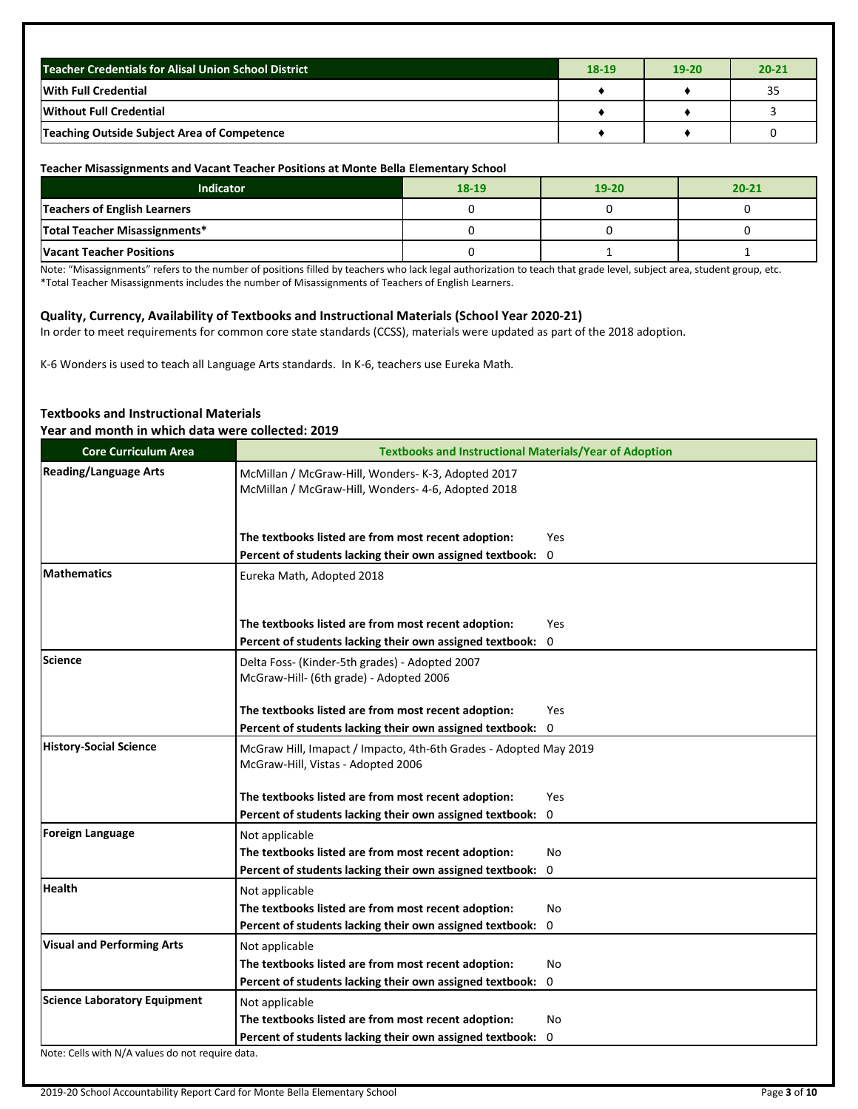| Teacher Credentials for Alisal Union School District | $18-19$ | $19 - 20$ | $20 - 21$ |
|------------------------------------------------------|---------|-----------|-----------|
| <b>With Full Credential</b>                          |         |           | 35        |
| <b>Without Full Credential</b>                       |         |           |           |
| Teaching Outside Subject Area of Competence          |         |           |           |

#### **Teacher Misassignments and Vacant Teacher Positions at Monte Bella Elementary School**

| Indicator                           | 18-19 | $19-20$ | $20 - 21$ |
|-------------------------------------|-------|---------|-----------|
| <b>Teachers of English Learners</b> |       |         |           |
| Total Teacher Misassignments*       |       |         |           |
| <b>Vacant Teacher Positions</b>     |       |         |           |

Note: "Misassignments" refers to the number of positions filled by teachers who lack legal authorization to teach that grade level, subject area, student group, etc. \*Total Teacher Misassignments includes the number of Misassignments of Teachers of English Learners.

#### **Quality, Currency, Availability of Textbooks and Instructional Materials (School Year 2020-21)**

In order to meet requirements for common core state standards (CCSS), materials were updated as part of the 2018 adoption.

K-6 Wonders is used to teach all Language Arts standards. In K-6, teachers use Eureka Math.

#### **Textbooks and Instructional Materials Year and month in which data were collected: 2019**

| <b>Core Curriculum Area</b>         | <b>Textbooks and Instructional Materials/Year of Adoption</b>                                            |            |
|-------------------------------------|----------------------------------------------------------------------------------------------------------|------------|
| <b>Reading/Language Arts</b>        | McMillan / McGraw-Hill, Wonders- K-3, Adopted 2017<br>McMillan / McGraw-Hill, Wonders- 4-6, Adopted 2018 |            |
|                                     | The textbooks listed are from most recent adoption:                                                      | <b>Yes</b> |
|                                     | Percent of students lacking their own assigned textbook:                                                 | 0          |
| <b>Mathematics</b>                  | Eureka Math, Adopted 2018                                                                                |            |
|                                     | The textbooks listed are from most recent adoption:                                                      | <b>Yes</b> |
|                                     | Percent of students lacking their own assigned textbook:                                                 | $\Omega$   |
| <b>Science</b>                      | Delta Foss- (Kinder-5th grades) - Adopted 2007<br>McGraw-Hill- (6th grade) - Adopted 2006                |            |
|                                     | The textbooks listed are from most recent adoption:                                                      | <b>Yes</b> |
|                                     | Percent of students lacking their own assigned textbook:                                                 | $\Omega$   |
| <b>History-Social Science</b>       | McGraw Hill, Imapact / Impacto, 4th-6th Grades - Adopted May 2019<br>McGraw-Hill, Vistas - Adopted 2006  |            |
|                                     | The textbooks listed are from most recent adoption:                                                      | Yes        |
|                                     | Percent of students lacking their own assigned textbook:                                                 | 0          |
| <b>Foreign Language</b>             | Not applicable                                                                                           |            |
|                                     | The textbooks listed are from most recent adoption:                                                      | No         |
|                                     | Percent of students lacking their own assigned textbook:                                                 | 0          |
| <b>Health</b>                       | Not applicable                                                                                           |            |
|                                     | The textbooks listed are from most recent adoption:                                                      | No         |
|                                     | Percent of students lacking their own assigned textbook:                                                 | 0          |
| <b>Visual and Performing Arts</b>   | Not applicable                                                                                           |            |
|                                     | The textbooks listed are from most recent adoption:                                                      | No         |
|                                     | Percent of students lacking their own assigned textbook:                                                 | 0          |
| <b>Science Laboratory Equipment</b> | Not applicable                                                                                           |            |
|                                     | The textbooks listed are from most recent adoption:                                                      | No         |
| 211.317A                            | Percent of students lacking their own assigned textbook:                                                 | 0          |

Note: Cells with N/A values do not require data.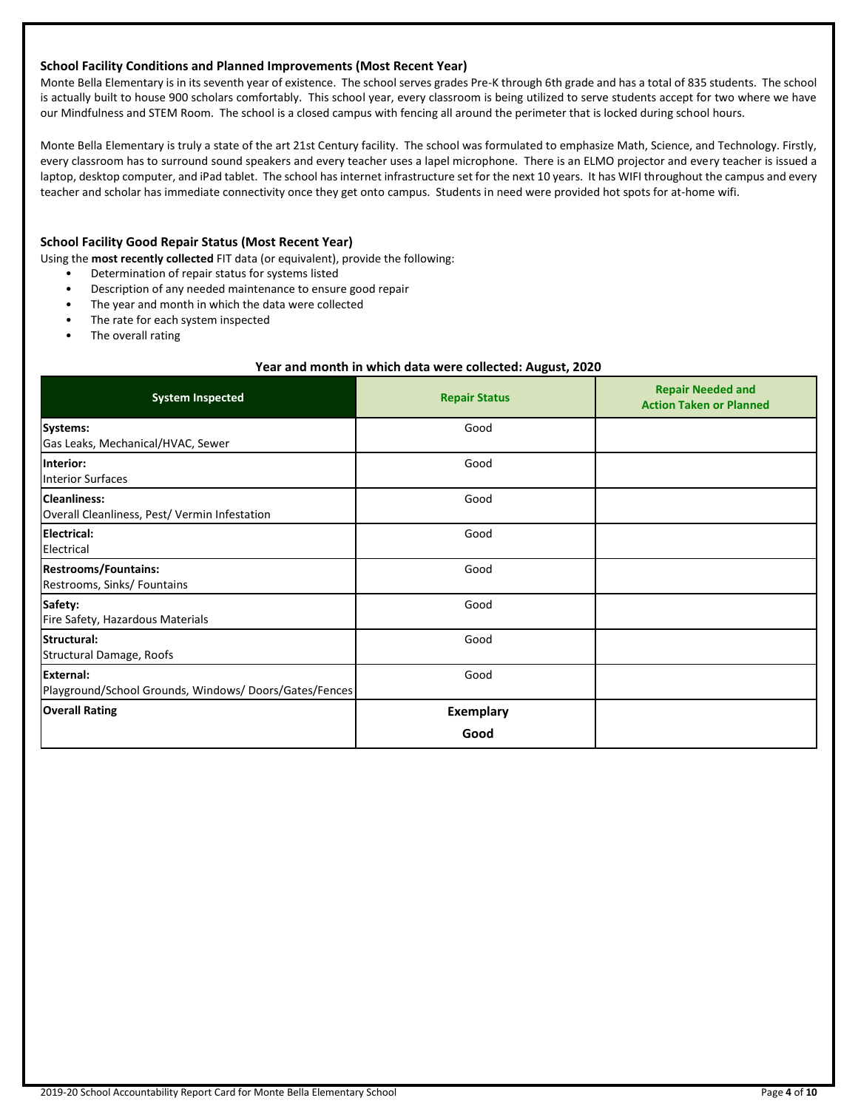#### **School Facility Conditions and Planned Improvements (Most Recent Year)**

Monte Bella Elementary is in its seventh year of existence. The school serves grades Pre-K through 6th grade and has a total of 835 students. The school is actually built to house 900 scholars comfortably. This school year, every classroom is being utilized to serve students accept for two where we have our Mindfulness and STEM Room. The school is a closed campus with fencing all around the perimeter that is locked during school hours.

Monte Bella Elementary is truly a state of the art 21st Century facility. The school was formulated to emphasize Math, Science, and Technology. Firstly, every classroom has to surround sound speakers and every teacher uses a lapel microphone. There is an ELMO projector and every teacher is issued a laptop, desktop computer, and iPad tablet. The school has internet infrastructure set for the next 10 years. It has WIFI throughout the campus and every teacher and scholar has immediate connectivity once they get onto campus. Students in need were provided hot spots for at-home wifi.

## **School Facility Good Repair Status (Most Recent Year)**

Using the **most recently collected** FIT data (or equivalent), provide the following:

- Determination of repair status for systems listed
- Description of any needed maintenance to ensure good repair
- The year and month in which the data were collected
- The rate for each system inspected
- The overall rating

#### **Year and month in which data were collected: August, 2020**

| <b>System Inspected</b>                                              | <b>Repair Status</b> | <b>Repair Needed and</b><br><b>Action Taken or Planned</b> |
|----------------------------------------------------------------------|----------------------|------------------------------------------------------------|
| Systems:<br>Gas Leaks, Mechanical/HVAC, Sewer                        | Good                 |                                                            |
| Interior:<br><b>Interior Surfaces</b>                                | Good                 |                                                            |
| <b>Cleanliness:</b><br>Overall Cleanliness, Pest/ Vermin Infestation | Good                 |                                                            |
| <b>Electrical:</b><br>Electrical                                     | Good                 |                                                            |
| <b>Restrooms/Fountains:</b><br>Restrooms, Sinks/ Fountains           | Good                 |                                                            |
| Safety:<br>Fire Safety, Hazardous Materials                          | Good                 |                                                            |
| Structural:<br>Structural Damage, Roofs                              | Good                 |                                                            |
| External:<br>Playground/School Grounds, Windows/Doors/Gates/Fences   | Good                 |                                                            |
| <b>Overall Rating</b>                                                | Exemplary<br>Good    |                                                            |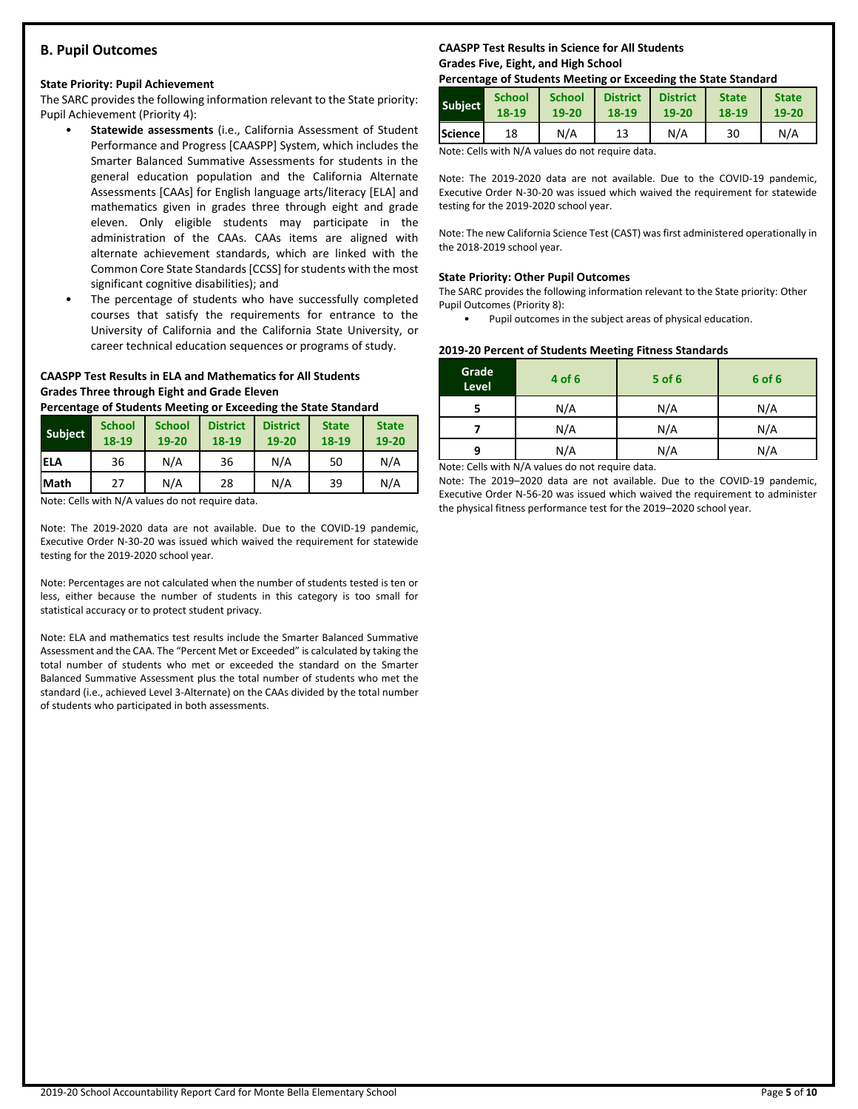## **B. Pupil Outcomes**

#### **State Priority: Pupil Achievement**

The SARC provides the following information relevant to the State priority: Pupil Achievement (Priority 4):

- **Statewide assessments** (i.e., California Assessment of Student Performance and Progress [CAASPP] System, which includes the Smarter Balanced Summative Assessments for students in the general education population and the California Alternate Assessments [CAAs] for English language arts/literacy [ELA] and mathematics given in grades three through eight and grade eleven. Only eligible students may participate in the administration of the CAAs. CAAs items are aligned with alternate achievement standards, which are linked with the Common Core State Standards [CCSS] for students with the most significant cognitive disabilities); and
- The percentage of students who have successfully completed courses that satisfy the requirements for entrance to the University of California and the California State University, or career technical education sequences or programs of study.

#### **CAASPP Test Results in ELA and Mathematics for All Students Grades Three through Eight and Grade Eleven**

**Percentage of Students Meeting or Exceeding the State Standard**

| <b>Subject</b> | <b>School</b><br>18-19 | <b>School</b><br>$19 - 20$ | <b>District</b><br>18-19 | <b>District</b><br>$19 - 20$ | <b>State</b><br>18-19 | <b>State</b><br>19-20 |
|----------------|------------------------|----------------------------|--------------------------|------------------------------|-----------------------|-----------------------|
| iela           | 36                     | N/A                        | 36                       | N/A                          | 50                    | N/A                   |
| <b>Math</b>    | 27                     | N/A                        | 28                       | N/A                          | 39                    | N/A                   |

Note: Cells with N/A values do not require data.

Note: The 2019-2020 data are not available. Due to the COVID-19 pandemic, Executive Order N-30-20 was issued which waived the requirement for statewide testing for the 2019-2020 school year.

Note: Percentages are not calculated when the number of students tested is ten or less, either because the number of students in this category is too small for statistical accuracy or to protect student privacy.

Note: ELA and mathematics test results include the Smarter Balanced Summative Assessment and the CAA. The "Percent Met or Exceeded" is calculated by taking the total number of students who met or exceeded the standard on the Smarter Balanced Summative Assessment plus the total number of students who met the standard (i.e., achieved Level 3-Alternate) on the CAAs divided by the total number of students who participated in both assessments.

## **CAASPP Test Results in Science for All Students Grades Five, Eight, and High School**

#### **Percentage of Students Meeting or Exceeding the State Standard**

| <b>Subject</b> | <b>School</b> | <b>School</b> | <b>District</b> | <b>District</b> | <b>State</b> | <b>State</b> |
|----------------|---------------|---------------|-----------------|-----------------|--------------|--------------|
|                | 18-19         | 19-20         | 18-19           | 19-20           | 18-19        | 19-20        |
| <b>Science</b> | 18            | N/A           | 13              | N/A             | 30           | N/A          |

Note: Cells with N/A values do not require data.

Note: The 2019-2020 data are not available. Due to the COVID-19 pandemic, Executive Order N-30-20 was issued which waived the requirement for statewide testing for the 2019-2020 school year.

Note: The new California Science Test (CAST) was first administered operationally in the 2018-2019 school year.

#### **State Priority: Other Pupil Outcomes**

The SARC provides the following information relevant to the State priority: Other Pupil Outcomes (Priority 8):

Pupil outcomes in the subject areas of physical education.

#### **2019-20 Percent of Students Meeting Fitness Standards**

| Grade<br>Level | 4 of 6                                                                                                                                                                                                                                    | $5$ of 6 | 6 of 6 |
|----------------|-------------------------------------------------------------------------------------------------------------------------------------------------------------------------------------------------------------------------------------------|----------|--------|
|                | N/A                                                                                                                                                                                                                                       | N/A      | N/A    |
|                | N/A                                                                                                                                                                                                                                       | N/A      | N/A    |
| q              | N/A                                                                                                                                                                                                                                       | N/A      | N/A    |
|                | $\mathbf{A}$ is a set of $\mathbf{A}$ if the set of $\mathbf{A}$ and is a set of the set of the set of the set of the set of the set of the set of the set of the set of the set of the set of the set of the set of the set of the set o |          |        |

Note: Cells with N/A values do not require data.

Note: The 2019–2020 data are not available. Due to the COVID-19 pandemic, Executive Order N-56-20 was issued which waived the requirement to administer the physical fitness performance test for the 2019–2020 school year.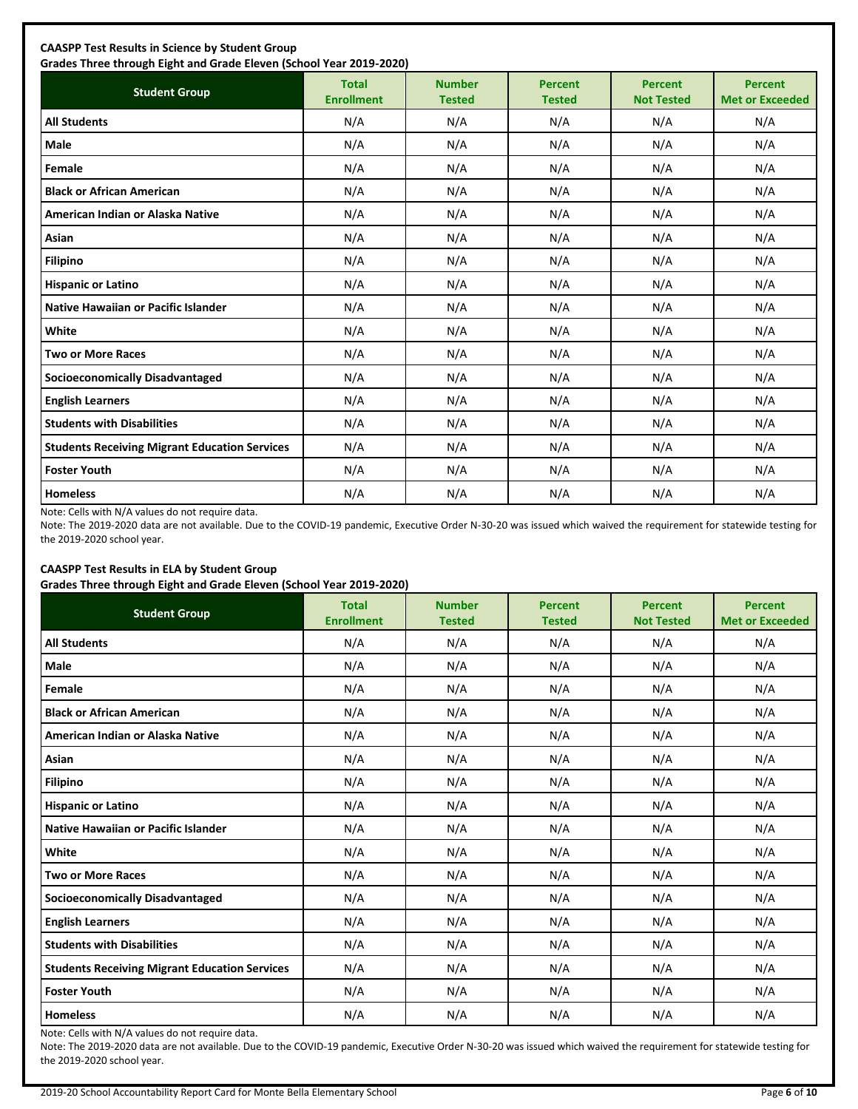| <b>Student Group</b>                                 | <b>Total</b><br><b>Enrollment</b> | <b>Number</b><br><b>Tested</b> | <b>Percent</b><br><b>Tested</b> | <b>Percent</b><br><b>Not Tested</b> | <b>Percent</b><br><b>Met or Exceeded</b> |
|------------------------------------------------------|-----------------------------------|--------------------------------|---------------------------------|-------------------------------------|------------------------------------------|
| <b>All Students</b>                                  | N/A                               | N/A                            | N/A                             | N/A                                 | N/A                                      |
| <b>Male</b>                                          | N/A                               | N/A                            | N/A                             | N/A                                 | N/A                                      |
| Female                                               | N/A                               | N/A                            | N/A                             | N/A                                 | N/A                                      |
| <b>Black or African American</b>                     | N/A                               | N/A                            | N/A                             | N/A                                 | N/A                                      |
| American Indian or Alaska Native                     | N/A                               | N/A                            | N/A                             | N/A                                 | N/A                                      |
| <b>Asian</b>                                         | N/A                               | N/A                            | N/A                             | N/A                                 | N/A                                      |
| <b>Filipino</b>                                      | N/A                               | N/A                            | N/A                             | N/A                                 | N/A                                      |
| <b>Hispanic or Latino</b>                            | N/A                               | N/A                            | N/A                             | N/A                                 | N/A                                      |
| Native Hawaiian or Pacific Islander                  | N/A                               | N/A                            | N/A                             | N/A                                 | N/A                                      |
| White                                                | N/A                               | N/A                            | N/A                             | N/A                                 | N/A                                      |
| <b>Two or More Races</b>                             | N/A                               | N/A                            | N/A                             | N/A                                 | N/A                                      |
| <b>Socioeconomically Disadvantaged</b>               | N/A                               | N/A                            | N/A                             | N/A                                 | N/A                                      |
| <b>English Learners</b>                              | N/A                               | N/A                            | N/A                             | N/A                                 | N/A                                      |
| <b>Students with Disabilities</b>                    | N/A                               | N/A                            | N/A                             | N/A                                 | N/A                                      |
| <b>Students Receiving Migrant Education Services</b> | N/A                               | N/A                            | N/A                             | N/A                                 | N/A                                      |
| <b>Foster Youth</b>                                  | N/A                               | N/A                            | N/A                             | N/A                                 | N/A                                      |
| <b>Homeless</b>                                      | N/A                               | N/A                            | N/A                             | N/A                                 | N/A                                      |

Note: Cells with N/A values do not require data.

Note: The 2019-2020 data are not available. Due to the COVID-19 pandemic, Executive Order N-30-20 was issued which waived the requirement for statewide testing for the 2019-2020 school year.

## **CAASPP Test Results in ELA by Student Group**

**Grades Three through Eight and Grade Eleven (School Year 2019-2020)**

| <b>Student Group</b>                                 | .,<br><b>Total</b><br><b>Enrollment</b> | <b>Number</b><br><b>Tested</b> | <b>Percent</b><br><b>Tested</b> | <b>Percent</b><br><b>Not Tested</b> | <b>Percent</b><br><b>Met or Exceeded</b> |
|------------------------------------------------------|-----------------------------------------|--------------------------------|---------------------------------|-------------------------------------|------------------------------------------|
| <b>All Students</b>                                  | N/A                                     | N/A                            | N/A                             | N/A                                 | N/A                                      |
| Male                                                 | N/A                                     | N/A                            | N/A                             | N/A                                 | N/A                                      |
| Female                                               | N/A                                     | N/A                            | N/A                             | N/A                                 | N/A                                      |
| <b>Black or African American</b>                     | N/A                                     | N/A                            | N/A                             | N/A                                 | N/A                                      |
| American Indian or Alaska Native                     | N/A                                     | N/A                            | N/A                             | N/A                                 | N/A                                      |
| Asian                                                | N/A                                     | N/A                            | N/A                             | N/A                                 | N/A                                      |
| <b>Filipino</b>                                      | N/A                                     | N/A                            | N/A                             | N/A                                 | N/A                                      |
| <b>Hispanic or Latino</b>                            | N/A                                     | N/A                            | N/A                             | N/A                                 | N/A                                      |
| Native Hawaiian or Pacific Islander                  | N/A                                     | N/A                            | N/A                             | N/A                                 | N/A                                      |
| White                                                | N/A                                     | N/A                            | N/A                             | N/A                                 | N/A                                      |
| <b>Two or More Races</b>                             | N/A                                     | N/A                            | N/A                             | N/A                                 | N/A                                      |
| <b>Socioeconomically Disadvantaged</b>               | N/A                                     | N/A                            | N/A                             | N/A                                 | N/A                                      |
| <b>English Learners</b>                              | N/A                                     | N/A                            | N/A                             | N/A                                 | N/A                                      |
| <b>Students with Disabilities</b>                    | N/A                                     | N/A                            | N/A                             | N/A                                 | N/A                                      |
| <b>Students Receiving Migrant Education Services</b> | N/A                                     | N/A                            | N/A                             | N/A                                 | N/A                                      |
| <b>Foster Youth</b>                                  | N/A                                     | N/A                            | N/A                             | N/A                                 | N/A                                      |
| <b>Homeless</b>                                      | N/A                                     | N/A                            | N/A                             | N/A                                 | N/A                                      |

Note: Cells with N/A values do not require data.

Note: The 2019-2020 data are not available. Due to the COVID-19 pandemic, Executive Order N-30-20 was issued which waived the requirement for statewide testing for the 2019-2020 school year.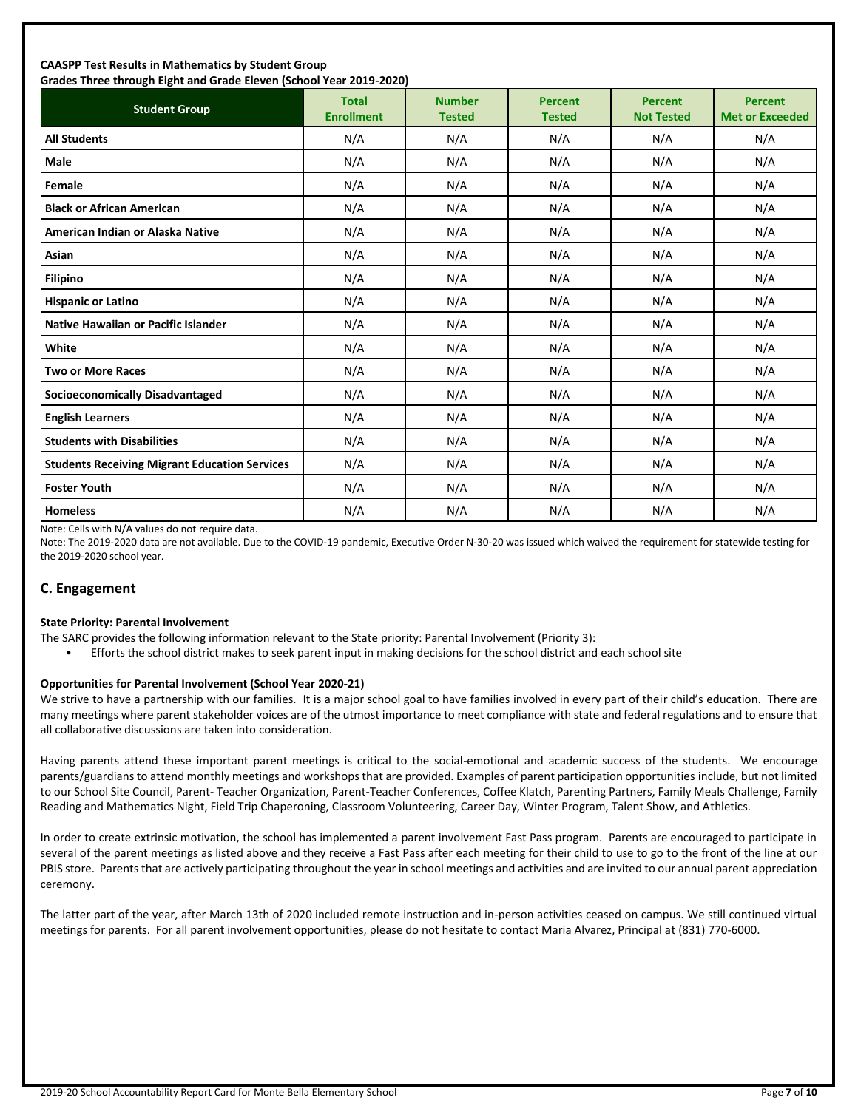#### **CAASPP Test Results in Mathematics by Student Group Grades Three through Eight and Grade Eleven (School Year 2019-2020)**

| andes mice anoggii agna and ardue actem penoor redi 2015 2020;<br><b>Student Group</b> | <b>Total</b><br><b>Enrollment</b> | <b>Number</b><br><b>Tested</b> | <b>Percent</b><br><b>Tested</b> | <b>Percent</b><br><b>Not Tested</b> | <b>Percent</b><br><b>Met or Exceeded</b> |
|----------------------------------------------------------------------------------------|-----------------------------------|--------------------------------|---------------------------------|-------------------------------------|------------------------------------------|
| <b>All Students</b>                                                                    | N/A                               | N/A                            | N/A                             | N/A                                 | N/A                                      |
| <b>Male</b>                                                                            | N/A                               | N/A                            | N/A                             | N/A                                 | N/A                                      |
| Female                                                                                 | N/A                               | N/A                            | N/A                             | N/A                                 | N/A                                      |
| <b>Black or African American</b>                                                       | N/A                               | N/A                            | N/A                             | N/A                                 | N/A                                      |
| American Indian or Alaska Native                                                       | N/A                               | N/A                            | N/A                             | N/A                                 | N/A                                      |
| Asian                                                                                  | N/A                               | N/A                            | N/A                             | N/A                                 | N/A                                      |
| <b>Filipino</b>                                                                        | N/A                               | N/A                            | N/A                             | N/A                                 | N/A                                      |
| <b>Hispanic or Latino</b>                                                              | N/A                               | N/A                            | N/A                             | N/A                                 | N/A                                      |
| <b>Native Hawaiian or Pacific Islander</b>                                             | N/A                               | N/A                            | N/A                             | N/A                                 | N/A                                      |
| White                                                                                  | N/A                               | N/A                            | N/A                             | N/A                                 | N/A                                      |
| <b>Two or More Races</b>                                                               | N/A                               | N/A                            | N/A                             | N/A                                 | N/A                                      |
| <b>Socioeconomically Disadvantaged</b>                                                 | N/A                               | N/A                            | N/A                             | N/A                                 | N/A                                      |
| <b>English Learners</b>                                                                | N/A                               | N/A                            | N/A                             | N/A                                 | N/A                                      |
| <b>Students with Disabilities</b>                                                      | N/A                               | N/A                            | N/A                             | N/A                                 | N/A                                      |
| <b>Students Receiving Migrant Education Services</b>                                   | N/A                               | N/A                            | N/A                             | N/A                                 | N/A                                      |
| <b>Foster Youth</b>                                                                    | N/A                               | N/A                            | N/A                             | N/A                                 | N/A                                      |
| <b>Homeless</b>                                                                        | N/A                               | N/A                            | N/A                             | N/A                                 | N/A                                      |

Note: Cells with N/A values do not require data.

Note: The 2019-2020 data are not available. Due to the COVID-19 pandemic, Executive Order N-30-20 was issued which waived the requirement for statewide testing for the 2019-2020 school year.

## **C. Engagement**

#### **State Priority: Parental Involvement**

- The SARC provides the following information relevant to the State priority: Parental Involvement (Priority 3):
	- Efforts the school district makes to seek parent input in making decisions for the school district and each school site

#### **Opportunities for Parental Involvement (School Year 2020-21)**

We strive to have a partnership with our families. It is a major school goal to have families involved in every part of their child's education. There are many meetings where parent stakeholder voices are of the utmost importance to meet compliance with state and federal regulations and to ensure that all collaborative discussions are taken into consideration.

Having parents attend these important parent meetings is critical to the social-emotional and academic success of the students. We encourage parents/guardians to attend monthly meetings and workshops that are provided. Examples of parent participation opportunities include, but not limited to our School Site Council, Parent- Teacher Organization, Parent-Teacher Conferences, Coffee Klatch, Parenting Partners, Family Meals Challenge, Family Reading and Mathematics Night, Field Trip Chaperoning, Classroom Volunteering, Career Day, Winter Program, Talent Show, and Athletics.

In order to create extrinsic motivation, the school has implemented a parent involvement Fast Pass program. Parents are encouraged to participate in several of the parent meetings as listed above and they receive a Fast Pass after each meeting for their child to use to go to the front of the line at our PBIS store. Parents that are actively participating throughout the year in school meetings and activities and are invited to our annual parent appreciation ceremony.

The latter part of the year, after March 13th of 2020 included remote instruction and in-person activities ceased on campus. We still continued virtual meetings for parents. For all parent involvement opportunities, please do not hesitate to contact Maria Alvarez, Principal at (831) 770-6000.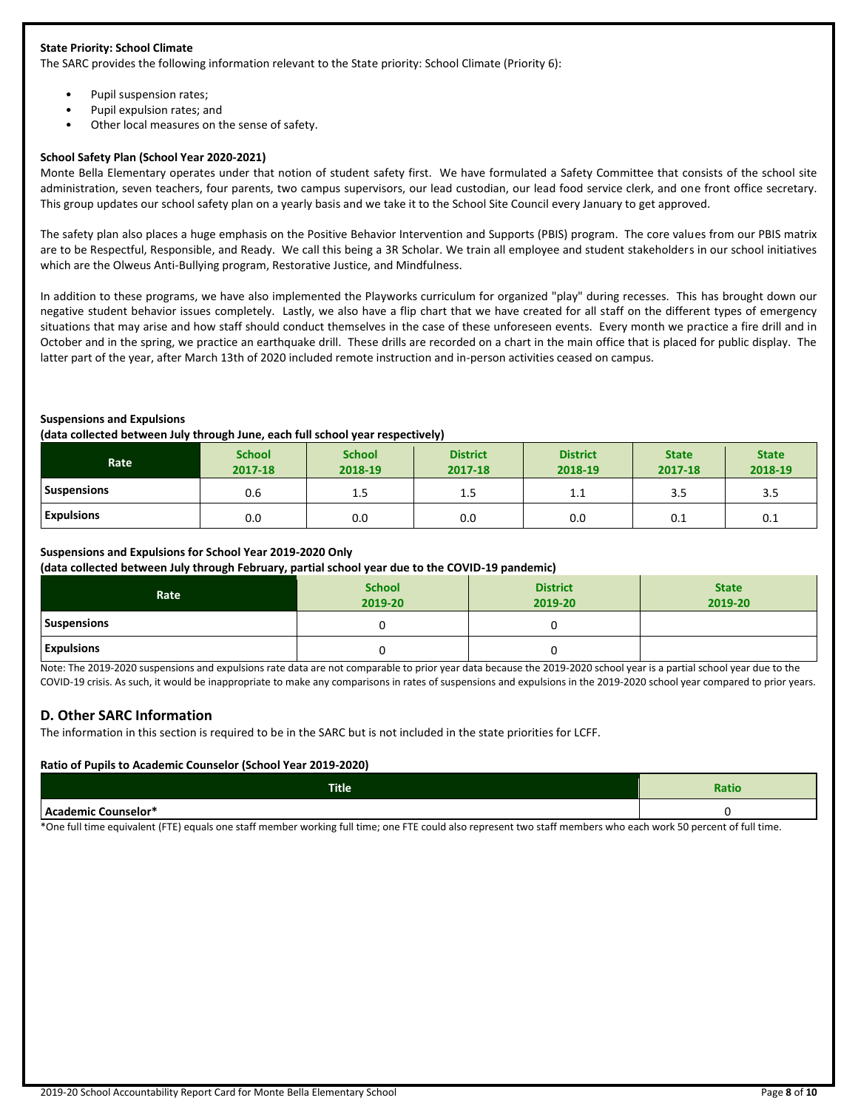#### **State Priority: School Climate**

The SARC provides the following information relevant to the State priority: School Climate (Priority 6):

- Pupil suspension rates;
- Pupil expulsion rates; and
- Other local measures on the sense of safety.

#### **School Safety Plan (School Year 2020-2021)**

Monte Bella Elementary operates under that notion of student safety first. We have formulated a Safety Committee that consists of the school site administration, seven teachers, four parents, two campus supervisors, our lead custodian, our lead food service clerk, and one front office secretary. This group updates our school safety plan on a yearly basis and we take it to the School Site Council every January to get approved.

The safety plan also places a huge emphasis on the Positive Behavior Intervention and Supports (PBIS) program. The core values from our PBIS matrix are to be Respectful, Responsible, and Ready. We call this being a 3R Scholar. We train all employee and student stakeholders in our school initiatives which are the Olweus Anti-Bullying program, Restorative Justice, and Mindfulness.

In addition to these programs, we have also implemented the Playworks curriculum for organized "play" during recesses. This has brought down our negative student behavior issues completely. Lastly, we also have a flip chart that we have created for all staff on the different types of emergency situations that may arise and how staff should conduct themselves in the case of these unforeseen events. Every month we practice a fire drill and in October and in the spring, we practice an earthquake drill. These drills are recorded on a chart in the main office that is placed for public display. The latter part of the year, after March 13th of 2020 included remote instruction and in-person activities ceased on campus.

#### **Suspensions and Expulsions**

#### **(data collected between July through June, each full school year respectively)**

| <b>Rate</b>        | <b>School</b><br>2017-18 | <b>School</b><br>2018-19 | - -<br><b>District</b><br>2017-18 | <b>District</b><br>2018-19 | <b>State</b><br>2017-18 | <b>State</b><br>2018-19 |
|--------------------|--------------------------|--------------------------|-----------------------------------|----------------------------|-------------------------|-------------------------|
| <b>Suspensions</b> | 0.6                      | ر                        | 1.5                               | 1.1                        | 3.5                     | 3.5                     |
| <b>Expulsions</b>  | 0.0                      | 0.0                      | 0.0                               | 0.0                        | 0.1                     | 0.1                     |

#### **Suspensions and Expulsions for School Year 2019-2020 Only**

**(data collected between July through February, partial school year due to the COVID-19 pandemic)**

| Rate               | <b>School</b><br>2019-20 | <b>District</b><br>2019-20 | <b>State</b><br>2019-20 |
|--------------------|--------------------------|----------------------------|-------------------------|
| <b>Suspensions</b> |                          |                            |                         |
| <b>Expulsions</b>  |                          |                            |                         |

Note: The 2019-2020 suspensions and expulsions rate data are not comparable to prior year data because the 2019-2020 school year is a partial school year due to the COVID-19 crisis. As such, it would be inappropriate to make any comparisons in rates of suspensions and expulsions in the 2019-2020 school year compared to prior years.

#### **D. Other SARC Information**

The information in this section is required to be in the SARC but is not included in the state priorities for LCFF.

#### **Ratio of Pupils to Academic Counselor (School Year 2019-2020)**

| <b>Title</b>        | <b>Ratio</b> |
|---------------------|--------------|
| Academic Counselor* |              |

\*One full time equivalent (FTE) equals one staff member working full time; one FTE could also represent two staff members who each work 50 percent of full time.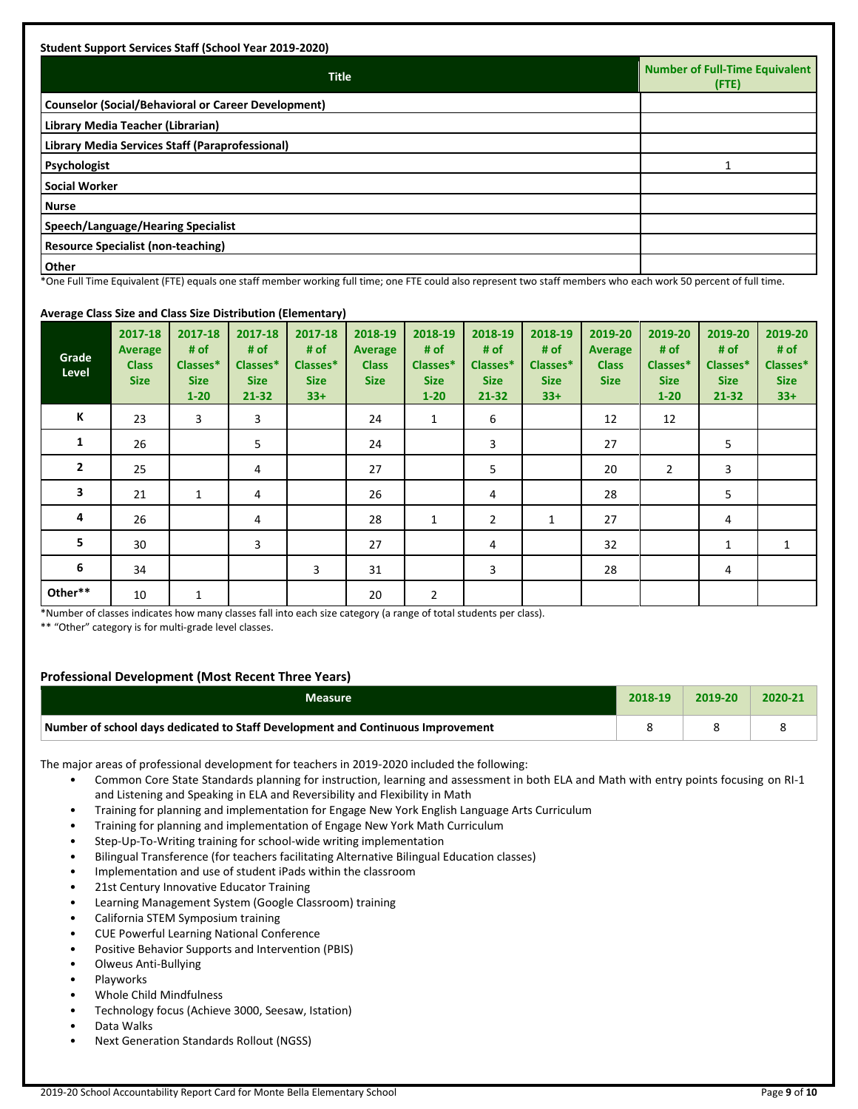| <b>Student Support Services Staff (School Year 2019-2020)</b> |                                               |
|---------------------------------------------------------------|-----------------------------------------------|
| <b>Title</b>                                                  | Number of Full-Time Equivalent<br>$($ FTE $)$ |
| <b>Counselor (Social/Behavioral or Career Development)</b>    |                                               |
| Library Media Teacher (Librarian)                             |                                               |
| Library Media Services Staff (Paraprofessional)               |                                               |
| Psychologist                                                  |                                               |
| <b>Social Worker</b>                                          |                                               |
| <b>Nurse</b>                                                  |                                               |
| Speech/Language/Hearing Specialist                            |                                               |
| Resource Specialist (non-teaching)                            |                                               |
| <b>Other</b><br>$\cdots$<br>.                                 | $\cdot$ $ -$                                  |

\*One Full Time Equivalent (FTE) equals one staff member working full time; one FTE could also represent two staff members who each work 50 percent of full time.

## **Average Class Size and Class Size Distribution (Elementary)**

| <del>.</del> . <del>.</del> g <del>.</del><br>Grade<br>Level | 2017-18<br><b>Average</b><br><b>Class</b><br><b>Size</b> | 2017-18<br># of<br>Classes*<br><b>Size</b><br>$1 - 20$ | 2017-18<br># of<br>Classes*<br><b>Size</b><br>$21 - 32$ | 2017-18<br># of<br>Classes*<br><b>Size</b><br>$33+$ | 2018-19<br><b>Average</b><br><b>Class</b><br><b>Size</b> | 2018-19<br># of<br>Classes*<br><b>Size</b><br>$1 - 20$ | 2018-19<br># of<br>Classes*<br><b>Size</b><br>21-32 | 2018-19<br># of<br>Classes*<br><b>Size</b><br>$33+$ | 2019-20<br><b>Average</b><br><b>Class</b><br><b>Size</b> | 2019-20<br># of<br>Classes*<br><b>Size</b><br>$1 - 20$ | 2019-20<br># of<br>Classes*<br><b>Size</b><br>$21 - 32$ | 2019-20<br># of<br>Classes*<br><b>Size</b><br>$33+$ |
|--------------------------------------------------------------|----------------------------------------------------------|--------------------------------------------------------|---------------------------------------------------------|-----------------------------------------------------|----------------------------------------------------------|--------------------------------------------------------|-----------------------------------------------------|-----------------------------------------------------|----------------------------------------------------------|--------------------------------------------------------|---------------------------------------------------------|-----------------------------------------------------|
| K                                                            | 23                                                       | $\overline{3}$                                         | 3                                                       |                                                     | 24                                                       | $\mathbf{1}$                                           | 6                                                   |                                                     | 12                                                       | 12                                                     |                                                         |                                                     |
| 1                                                            | 26                                                       |                                                        | 5                                                       |                                                     | 24                                                       |                                                        | 3                                                   |                                                     | 27                                                       |                                                        | 5                                                       |                                                     |
| $\overline{2}$                                               | 25                                                       |                                                        | 4                                                       |                                                     | 27                                                       |                                                        | 5                                                   |                                                     | 20                                                       | $\overline{2}$                                         | 3                                                       |                                                     |
| 3                                                            | 21                                                       | $\mathbf{1}$                                           | 4                                                       |                                                     | 26                                                       |                                                        | 4                                                   |                                                     | 28                                                       |                                                        | 5                                                       |                                                     |
| 4                                                            | 26                                                       |                                                        | $\overline{4}$                                          |                                                     | 28                                                       | $\mathbf{1}$                                           | $\overline{2}$                                      | 1                                                   | 27                                                       |                                                        | 4                                                       |                                                     |
| 5                                                            | 30                                                       |                                                        | 3                                                       |                                                     | 27                                                       |                                                        | 4                                                   |                                                     | 32                                                       |                                                        | 1                                                       | 1                                                   |
| 6                                                            | 34                                                       |                                                        |                                                         | 3                                                   | 31                                                       |                                                        | 3                                                   |                                                     | 28                                                       |                                                        | 4                                                       |                                                     |
| Other**                                                      | 10                                                       | $\mathbf{1}$                                           |                                                         |                                                     | 20                                                       | $\overline{2}$                                         |                                                     |                                                     |                                                          |                                                        |                                                         |                                                     |

\*Number of classes indicates how many classes fall into each size category (a range of total students per class).

\*\* "Other" category is for multi-grade level classes.

## **Professional Development (Most Recent Three Years)**

| <b>Measure</b>                                                                  | 2018-19 | $7019 - 20$ | 2020-21 |
|---------------------------------------------------------------------------------|---------|-------------|---------|
| Number of school days dedicated to Staff Development and Continuous Improvement |         |             |         |

The major areas of professional development for teachers in 2019-2020 included the following:

- Common Core State Standards planning for instruction, learning and assessment in both ELA and Math with entry points focusing on RI-1 and Listening and Speaking in ELA and Reversibility and Flexibility in Math
- Training for planning and implementation for Engage New York English Language Arts Curriculum
- Training for planning and implementation of Engage New York Math Curriculum
- Step-Up-To-Writing training for school-wide writing implementation
- Bilingual Transference (for teachers facilitating Alternative Bilingual Education classes)
- Implementation and use of student iPads within the classroom
- 21st Century Innovative Educator Training
- Learning Management System (Google Classroom) training
- California STEM Symposium training
- CUE Powerful Learning National Conference
- Positive Behavior Supports and Intervention (PBIS)
- Olweus Anti-Bullying
- **Playworks**
- Whole Child Mindfulness
- Technology focus (Achieve 3000, Seesaw, Istation)
- Data Walks
- Next Generation Standards Rollout (NGSS)